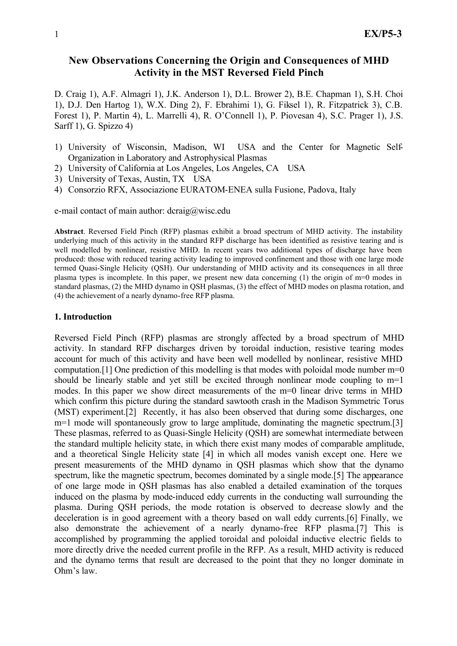# **New Observations Concerning the Origin and Consequences of MHD Activity in the MST Reversed Field Pinch**

D. Craig 1), A.F. Almagri 1), J.K. Anderson 1), D.L. Brower 2), B.E. Chapman 1), S.H. Choi 1), D.J. Den Hartog 1), W.X. Ding 2), F. Ebrahimi 1), G. Fiksel 1), R. Fitzpatrick 3), C.B. Forest 1), P. Martin 4), L. Marrelli 4), R. O'Connell 1), P. Piovesan 4), S.C. Prager 1), J.S. Sarff 1), G. Spizzo 4)

- 1) University of Wisconsin, Madison, WI USA and the Center for Magnetic Self-Organization in Laboratory and Astrophysical Plasmas
- 2) University of California at Los Angeles, Los Angeles, CA USA
- 3) University of Texas, Austin, TX USA
- 4) Consorzio RFX, Associazione EURATOM-ENEA sulla Fusione, Padova, Italy

e-mail contact of main author: dcraig@wisc.edu

**Abstract**. Reversed Field Pinch (RFP) plasmas exhibit a broad spectrum of MHD activity. The instability underlying much of this activity in the standard RFP discharge has been identified as resistive tearing and is well modelled by nonlinear, resistive MHD. In recent years two additional types of discharge have been produced: those with reduced tearing activity leading to improved confinement and those with one large mode termed Quasi-Single Helicity (QSH). Our understanding of MHD activity and its consequences in all three plasma types is incomplete. In this paper, we present new data concerning (1) the origin of m=0 modes in standard plasmas, (2) the MHD dynamo in QSH plasmas, (3) the effect of MHD modes on plasma rotation, and (4) the achievement of a nearly dynamo-free RFP plasma.

### **1. Introduction**

Reversed Field Pinch (RFP) plasmas are strongly affected by a broad spectrum of MHD activity. In standard RFP discharges driven by toroidal induction, resistive tearing modes account for much of this activity and have been well modelled by nonlinear, resistive MHD computation.[1] One prediction of this modelling is that modes with poloidal mode number m=0 should be linearly stable and yet still be excited through nonlinear mode coupling to m=1 modes. In this paper we show direct measurements of the m=0 linear drive terms in MHD which confirm this picture during the standard sawtooth crash in the Madison Symmetric Torus (MST) experiment.[2] Recently, it has also been observed that during some discharges, one m=1 mode will spontaneously grow to large amplitude, dominating the magnetic spectrum.[3] These plasmas, referred to as Quasi-Single Helicity (QSH) are somewhat intermediate between the standard multiple helicity state, in which there exist many modes of comparable amplitude, and a theoretical Single Helicity state [4] in which all modes vanish except one. Here we present measurements of the MHD dynamo in QSH plasmas which show that the dynamo spectrum, like the magnetic spectrum, becomes dominated by a single mode.[5] The appearance of one large mode in QSH plasmas has also enabled a detailed examination of the torques induced on the plasma by mode-induced eddy currents in the conducting wall surrounding the plasma. During QSH periods, the mode rotation is observed to decrease slowly and the deceleration is in good agreement with a theory based on wall eddy currents.[6] Finally, we also demonstrate the achievement of a nearly dynamo-free RFP plasma.[7] This is accomplished by programming the applied toroidal and poloidal inductive electric fields to more directly drive the needed current profile in the RFP. As a result, MHD activity is reduced and the dynamo terms that result are decreased to the point that they no longer dominate in Ohm's law.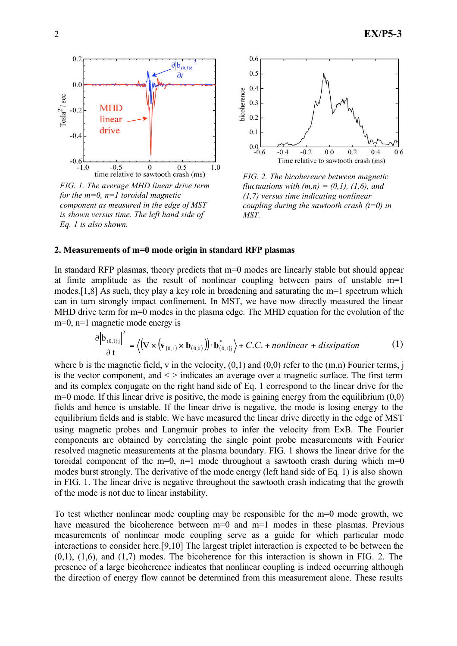

*FIG. 1. The average MHD linear drive term for the m=0, n=1 toroidal magnetic component as measured in the edge of MST is shown versus time. The left hand side of Eq. 1 is also shown.*



*FIG. 2. The bicoherence between magnetic fluctuations with*  $(m,n) = (0,1)$ *, (1,6), and (1,7) versus time indicating nonlinear coupling during the sawtooth crash (t=0) in MST.*

#### **2. Measurements of m=0 mode origin in standard RFP plasmas**

In standard RFP plasmas, theory predicts that m=0 modes are linearly stable but should appear at finite amplitude as the result of nonlinear coupling between pairs of unstable m=1 modes.[1,8] As such, they play a key role in broadening and saturating the m=1 spectrum which can in turn strongly impact confinement. In MST, we have now directly measured the linear MHD drive term for m=0 modes in the plasma edge. The MHD equation for the evolution of the m=0, n=1 magnetic mode energy is

$$
\frac{\partial |\mathbf{b}_{(0,1)j}|^2}{\partial \mathbf{t}} = \left\langle \left( \nabla \times (\mathbf{v}_{(0,1)} \times \mathbf{b}_{(0,0)}) \right) \cdot \mathbf{b}_{(0,1)j}^* \right\rangle + C.C. + nonlinear + dissipation \tag{1}
$$

where b is the magnetic field, v in the velocity,  $(0,1)$  and  $(0,0)$  refer to the  $(m,n)$  Fourier terms, j is the vector component, and  $\leq$  indicates an average over a magnetic surface. The first term and its complex conjugate on the right hand side of Eq. 1 correspond to the linear drive for the  $m=0$  mode. If this linear drive is positive, the mode is gaining energy from the equilibrium  $(0,0)$ fields and hence is unstable. If the linear drive is negative, the mode is losing energy to the equilibrium fields and is stable. We have measured the linear drive directly in the edge of MST using magnetic probes and Langmuir probes to infer the velocity from E×B. The Fourier components are obtained by correlating the single point probe measurements with Fourier resolved magnetic measurements at the plasma boundary. FIG. 1 shows the linear drive for the toroidal component of the m=0, n=1 mode throughout a sawtooth crash during which m=0 modes burst strongly. The derivative of the mode energy (left hand side of Eq. 1) is also shown in FIG. 1. The linear drive is negative throughout the sawtooth crash indicating that the growth of the mode is not due to linear instability.

To test whether nonlinear mode coupling may be responsible for the m=0 mode growth, we have measured the bicoherence between m=0 and m=1 modes in these plasmas. Previous measurements of nonlinear mode coupling serve as a guide for which particular mode interactions to consider here.[9,10] The largest triplet interaction is expected to be between the  $(0,1)$ ,  $(1,6)$ , and  $(1,7)$  modes. The bicoherence for this interaction is shown in FIG. 2. The presence of a large bicoherence indicates that nonlinear coupling is indeed occurring although the direction of energy flow cannot be determined from this measurement alone. These results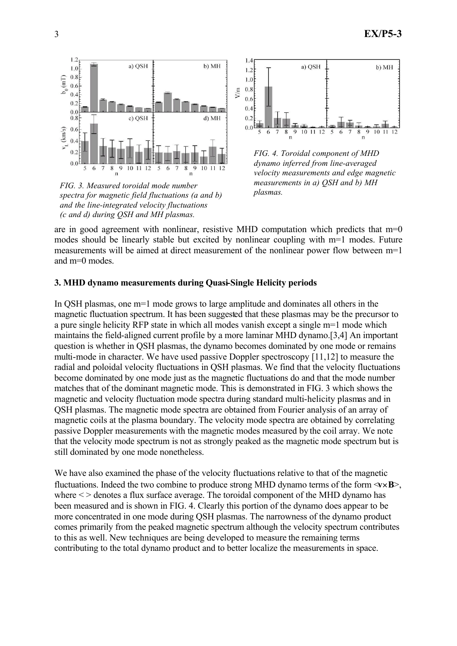

*FIG. 3. Measured toroidal mode number spectra for magnetic field fluctuations (a and b) and the line-integrated velocity fluctuations (c and d) during QSH and MH plasmas.*



*FIG. 4. Toroidal component of MHD dynamo inferred from line-averaged velocity measurements and edge magnetic measurements in a) QSH and b) MH plasmas.*

are in good agreement with nonlinear, resistive MHD computation which predicts that  $m=0$ modes should be linearly stable but excited by nonlinear coupling with m=1 modes. Future measurements will be aimed at direct measurement of the nonlinear power flow between  $m=1$ and m=0 modes.

## **3. MHD dynamo measurements during Quasi-Single Helicity periods**

In QSH plasmas, one m=1 mode grows to large amplitude and dominates all others in the magnetic fluctuation spectrum. It has been suggested that these plasmas may be the precursor to a pure single helicity RFP state in which all modes vanish except a single m=1 mode which maintains the field-aligned current profile by a more laminar MHD dynamo.[3,4] An important question is whether in QSH plasmas, the dynamo becomes dominated by one mode or remains multi-mode in character. We have used passive Doppler spectroscopy [11,12] to measure the radial and poloidal velocity fluctuations in QSH plasmas. We find that the velocity fluctuations become dominated by one mode just as the magnetic fluctuations do and that the mode number matches that of the dominant magnetic mode. This is demonstrated in FIG. 3 which shows the magnetic and velocity fluctuation mode spectra during standard multi-helicity plasmas and in QSH plasmas. The magnetic mode spectra are obtained from Fourier analysis of an array of magnetic coils at the plasma boundary. The velocity mode spectra are obtained by correlating passive Doppler measurements with the magnetic modes measured by the coil array. We note that the velocity mode spectrum is not as strongly peaked as the magnetic mode spectrum but is still dominated by one mode nonetheless.

We have also examined the phase of the velocity fluctuations relative to that of the magnetic fluctuations. Indeed the two combine to produce strong MHD dynamo terms of the form  $\langle v \times B \rangle$ . where  $\le$  > denotes a flux surface average. The toroidal component of the MHD dynamo has been measured and is shown in FIG. 4. Clearly this portion of the dynamo does appear to be more concentrated in one mode during QSH plasmas. The narrowness of the dynamo product comes primarily from the peaked magnetic spectrum although the velocity spectrum contributes to this as well. New techniques are being developed to measure the remaining terms contributing to the total dynamo product and to better localize the measurements in space.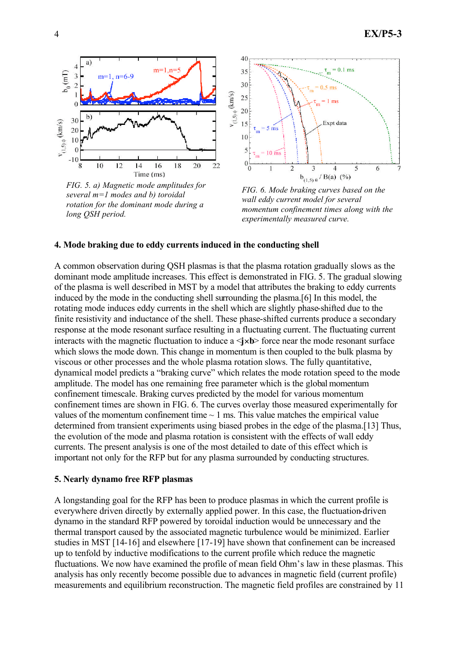

*FIG. 5. a) Magnetic mode amplitudes for several m=1 modes and b) toroidal rotation for the dominant mode during a long QSH period.*



*FIG. 6. Mode braking curves based on the wall eddy current model for several momentum confinement times along with the experimentally measured curve.*

### **4. Mode braking due to eddy currents induced in the conducting shell**

A common observation during QSH plasmas is that the plasma rotation gradually slows as the dominant mode amplitude increases. This effect is demonstrated in FIG. 5. The gradual slowing of the plasma is well described in MST by a model that attributes the braking to eddy currents induced by the mode in the conducting shell surrounding the plasma.[6] In this model, the rotating mode induces eddy currents in the shell which are slightly phase-shifted due to the finite resistivity and inductance of the shell. These phase-shifted currents produce a secondary response at the mode resonant surface resulting in a fluctuating current. The fluctuating current interacts with the magnetic fluctuation to induce  $a \leq x b$  force near the mode resonant surface which slows the mode down. This change in momentum is then coupled to the bulk plasma by viscous or other processes and the whole plasma rotation slows. The fully quantitative, dynamical model predicts a "braking curve" which relates the mode rotation speed to the mode amplitude. The model has one remaining free parameter which is the global momentum confinement timescale. Braking curves predicted by the model for various momentum confinement times are shown in FIG. 6. The curves overlay those measured experimentally for values of the momentum confinement time  $\sim$  1 ms. This value matches the empirical value determined from transient experiments using biased probes in the edge of the plasma.[13] Thus, the evolution of the mode and plasma rotation is consistent with the effects of wall eddy currents. The present analysis is one of the most detailed to date of this effect which is important not only for the RFP but for any plasma surrounded by conducting structures.

#### **5. Nearly dynamo free RFP plasmas**

A longstanding goal for the RFP has been to produce plasmas in which the current profile is everywhere driven directly by externally applied power. In this case, the fluctuation-driven dynamo in the standard RFP powered by toroidal induction would be unnecessary and the thermal transport caused by the associated magnetic turbulence would be minimized. Earlier studies in MST [14-16] and elsewhere [17-19] have shown that confinement can be increased up to tenfold by inductive modifications to the current profile which reduce the magnetic fluctuations. We now have examined the profile of mean field Ohm's law in these plasmas. This analysis has only recently become possible due to advances in magnetic field (current profile) measurements and equilibrium reconstruction. The magnetic field profiles are constrained by 11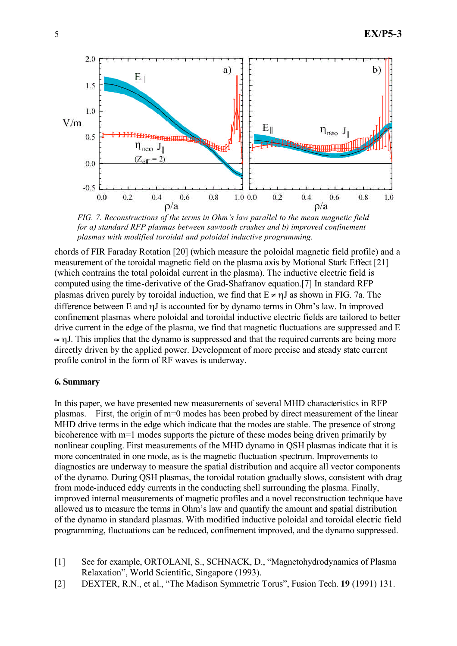

*FIG. 7. Reconstructions of the terms in Ohm's law parallel to the mean magnetic field for a) standard RFP plasmas between sawtooth crashes and b) improved confinement plasmas with modified toroidal and poloidal inductive programming.*

chords of FIR Faraday Rotation [20] (which measure the poloidal magnetic field profile) and a measurement of the toroidal magnetic field on the plasma axis by Motional Stark Effect [21] (which contrains the total poloidal current in the plasma). The inductive electric field is computed using the time-derivative of the Grad-Shafranov equation.[7] In standard RFP plasmas driven purely by toroidal induction, we find that  $E \neq nJ$  as shown in FIG. 7a. The difference between E and ηJ is accounted for by dynamo terms in Ohm's law. In improved confinement plasmas where poloidal and toroidal inductive electric fields are tailored to better drive current in the edge of the plasma, we find that magnetic fluctuations are suppressed and E ≈ ηJ. This implies that the dynamo is suppressed and that the required currents are being more directly driven by the applied power. Development of more precise and steady state current profile control in the form of RF waves is underway.

## **6. Summary**

In this paper, we have presented new measurements of several MHD characteristics in RFP plasmas. First, the origin of m=0 modes has been probed by direct measurement of the linear MHD drive terms in the edge which indicate that the modes are stable. The presence of strong bicoherence with m=1 modes supports the picture of these modes being driven primarily by nonlinear coupling. First measurements of the MHD dynamo in QSH plasmas indicate that it is more concentrated in one mode, as is the magnetic fluctuation spectrum. Improvements to diagnostics are underway to measure the spatial distribution and acquire all vector components of the dynamo. During QSH plasmas, the toroidal rotation gradually slows, consistent with drag from mode-induced eddy currents in the conducting shell surrounding the plasma. Finally, improved internal measurements of magnetic profiles and a novel reconstruction technique have allowed us to measure the terms in Ohm's law and quantify the amount and spatial distribution of the dynamo in standard plasmas. With modified inductive poloidal and toroidal electric field programming, fluctuations can be reduced, confinement improved, and the dynamo suppressed.

- [1] See for example, ORTOLANI, S., SCHNACK, D., "Magnetohydrodynamics of Plasma Relaxation", World Scientific, Singapore (1993).
- [2] DEXTER, R.N., et al., "The Madison Symmetric Torus", Fusion Tech. **19** (1991) 131.